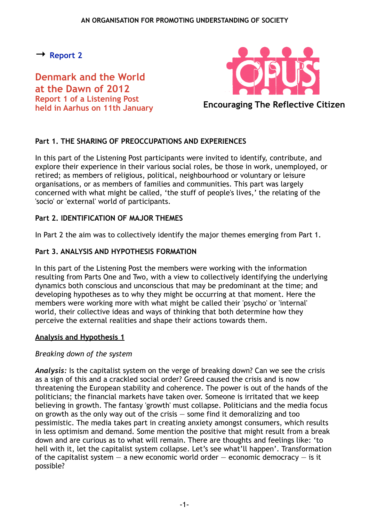<span id="page-0-0"></span>**→ [Report 2](#page-2-0)**

**Denmark and the World at the Dawn of 2012 Report 1 of a Listening Post held in Aarhus on 11th January**



**Encouraging The Reflective Citizen**

# **Part 1. THE SHARING OF PREOCCUPATIONS AND EXPERIENCES**

In this part of the Listening Post participants were invited to identify, contribute, and explore their experience in their various social roles, be those in work, unemployed, or retired; as members of religious, political, neighbourhood or voluntary or leisure organisations, or as members of families and communities. This part was largely concerned with what might be called, 'the stuff of people's lives,' the relating of the 'socio' or 'external' world of participants.

### **Part 2. IDENTIFICATION OF MAJOR THEMES**

In Part 2 the aim was to collectively identify the major themes emerging from Part 1.

### **Part 3. ANALYSIS AND HYPOTHESIS FORMATION**

In this part of the Listening Post the members were working with the information resulting from Parts One and Two, with a view to collectively identifying the underlying dynamics both conscious and unconscious that may be predominant at the time; and developing hypotheses as to why they might be occurring at that moment. Here the members were working more with what might be called their 'psycho' or 'internal' world, their collective ideas and ways of thinking that both determine how they perceive the external realities and shape their actions towards them.

#### **Analysis and Hypothesis 1**

# *Breaking down of the system*

*Analysis:* Is the capitalist system on the verge of breaking down? Can we see the crisis as a sign of this and a crackled social order? Greed caused the crisis and is now threatening the European stability and coherence. The power is out of the hands of the politicians; the financial markets have taken over. Someone is irritated that we keep believing in growth. The fantasy 'growth' must collapse. Politicians and the media focus on growth as the only way out of the crisis — some find it demoralizing and too pessimistic. The media takes part in creating anxiety amongst consumers, which results in less optimism and demand. Some mention the positive that might result from a break down and are curious as to what will remain. There are thoughts and feelings like: 'to hell with it, let the capitalist system collapse. Let's see what'll happen'. Transformation of the capitalist system  $-$  a new economic world order  $-$  economic democracy  $-$  is it possible?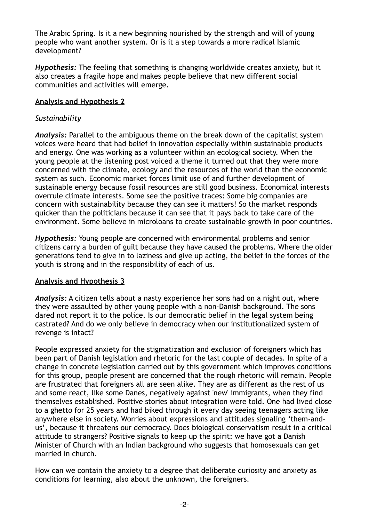The Arabic Spring. Is it a new beginning nourished by the strength and will of young people who want another system. Or is it a step towards a more radical Islamic development?

*Hypothesis:* The feeling that something is changing worldwide creates anxiety, but it also creates a fragile hope and makes people believe that new different social communities and activities will emerge.

### **Analysis and Hypothesis 2**

### *Sustainability*

*Analysis:* Parallel to the ambiguous theme on the break down of the capitalist system voices were heard that had belief in innovation especially within sustainable products and energy. One was working as a volunteer within an ecological society. When the young people at the listening post voiced a theme it turned out that they were more concerned with the climate, ecology and the resources of the world than the economic system as such. Economic market forces limit use of and further development of sustainable energy because fossil resources are still good business. Economical interests overrule climate interests. Some see the positive traces: Some big companies are concern with sustainability because they can see it matters! So the market responds quicker than the politicians because it can see that it pays back to take care of the environment. Some believe in microloans to create sustainable growth in poor countries.

*Hypothesis:* Young people are concerned with environmental problems and senior citizens carry a burden of guilt because they have caused the problems. Where the older generations tend to give in to laziness and give up acting, the belief in the forces of the youth is strong and in the responsibility of each of us.

# **Analysis and Hypothesis 3**

*Analysis:* A citizen tells about a nasty experience her sons had on a night out, where they were assaulted by other young people with a non-Danish background. The sons dared not report it to the police. Is our democratic belief in the legal system being castrated? And do we only believe in democracy when our institutionalized system of revenge is intact?

People expressed anxiety for the stigmatization and exclusion of foreigners which has been part of Danish legislation and rhetoric for the last couple of decades. In spite of a change in concrete legislation carried out by this government which improves conditions for this group, people present are concerned that the rough rhetoric will remain. People are frustrated that foreigners all are seen alike. They are as different as the rest of us and some react, like some Danes, negatively against 'new' immigrants, when they find themselves established. Positive stories about integration were told. One had lived close to a ghetto for 25 years and had biked through it every day seeing teenagers acting like anywhere else in society. Worries about expressions and attitudes signaling 'them-andus', because it threatens our democracy. Does biological conservatism result in a critical attitude to strangers? Positive signals to keep up the spirit: we have got a Danish Minister of Church with an Indian background who suggests that homosexuals can get married in church.

How can we contain the anxiety to a degree that deliberate curiosity and anxiety as conditions for learning, also about the unknown, the foreigners.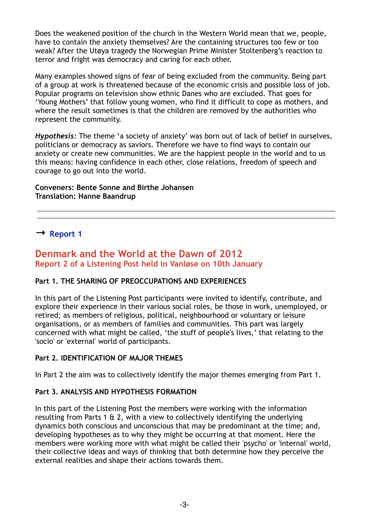Does the weakened position of the church in the Western World mean that we, people, have to contain the anxiety themselves? Are the containing structures too few or too weak? After the Utøya tragedy the Norwegian Prime Minister Stoltenberg's reaction to terror and fright was democracy and caring for each other.

Many examples showed signs of fear of being excluded from the community. Being part of a group at work is threatened because of the economic crisis and possible loss of job. Popular programs on television show ethnic Danes who are excluded. That goes for 'Young Mothers' that follow young women, who find it difficult to cope as mothers, and where the result sometimes is that the children are removed by the authorities who represent the community.

*Hypothesis:* The theme 'a society of anxiety' was born out of lack of belief in ourselves, politicians or democracy as saviors. Therefore we have to find ways to contain our anxiety or create new communities. We are the happiest people in the world and to us this means: having confidence in each other, close relations, freedom of speech and courage to go out into the world.

### **Conveners: Bente Sonne and Birthe Johansen Translation: Hanne Baandrup**

<span id="page-2-0"></span>**→ [Report 1](#page-0-0)**

# **Denmark and the World at the Dawn of 2012 Report 2 of a Listening Post held in Vanløse on 10th January**

# **Part 1. THE SHARING OF PREOCCUPATIONS AND EXPERIENCES**

In this part of the Listening Post participants were invited to identify, contribute, and explore their experience in their various social roles, be those in work, unemployed, or retired; as members of religious, political, neighbourhood or voluntary or leisure organisations, or as members of families and communities. This part was largely concerned with what might be called, 'the stuff of people's lives,' that relating to the 'socio' or 'external' world of participants.

# **Part 2. IDENTIFICATION OF MAJOR THEMES**

In Part 2 the aim was to collectively identify the major themes emerging from Part 1.

# **Part 3. ANALYSIS AND HYPOTHESIS FORMATION**

In this part of the Listening Post the members were working with the information resulting from Parts 1 & 2, with a view to collectively identifying the underlying dynamics both conscious and unconscious that may be predominant at the time; and, developing hypotheses as to why they might be occurring at that moment. Here the members were working more with what might be called their 'psycho' or 'internal' world, their collective ideas and ways of thinking that both determine how they perceive the external realities and shape their actions towards them.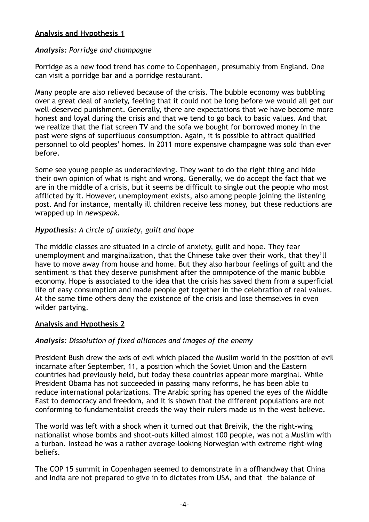### **Analysis and Hypothesis 1**

### *Analysis: Porridge and champagne*

Porridge as a new food trend has come to Copenhagen, presumably from England. One can visit a porridge bar and a porridge restaurant.

Many people are also relieved because of the crisis. The bubble economy was bubbling over a great deal of anxiety, feeling that it could not be long before we would all get our well-deserved punishment. Generally, there are expectations that we have become more honest and loyal during the crisis and that we tend to go back to basic values. And that we realize that the flat screen TV and the sofa we bought for borrowed money in the past were signs of superfluous consumption. Again, it is possible to attract qualified personnel to old peoples' homes. In 2011 more expensive champagne was sold than ever before.

Some see young people as underachieving. They want to do the right thing and hide their own opinion of what is right and wrong. Generally, we do accept the fact that we are in the middle of a crisis, but it seems be difficult to single out the people who most afflicted by it. However, unemployment exists, also among people joining the listening post. And for instance, mentally ill children receive less money, but these reductions are wrapped up in *newspeak.*

# *Hypothesis: A circle of anxiety, guilt and hope*

The middle classes are situated in a circle of anxiety, guilt and hope. They fear unemployment and marginalization, that the Chinese take over their work, that they'll have to move away from house and home. But they also harbour feelings of guilt and the sentiment is that they deserve punishment after the omnipotence of the manic bubble economy. Hope is associated to the idea that the crisis has saved them from a superficial life of easy consumption and made people get together in the celebration of real values. At the same time others deny the existence of the crisis and lose themselves in even wilder partying.

#### **Analysis and Hypothesis 2**

# *Analysis: Dissolution of fixed alliances and images of the enemy*

President Bush drew the axis of evil which placed the Muslim world in the position of evil incarnate after September, 11, a position which the Soviet Union and the Eastern countries had previously held, but today these countries appear more marginal. While President Obama has not succeeded in passing many reforms, he has been able to reduce international polarizations. The Arabic spring has opened the eyes of the Middle East to democracy and freedom, and it is shown that the different populations are not conforming to fundamentalist creeds the way their rulers made us in the west believe.

The world was left with a shock when it turned out that Breivik, the the right-wing nationalist whose bombs and shoot-outs killed almost 100 people, was not a Muslim with a turban. Instead he was a rather average-looking Norwegian with extreme right-wing beliefs.

The COP 15 summit in Copenhagen seemed to demonstrate in a offhandway that China and India are not prepared to give in to dictates from USA, and that the balance of